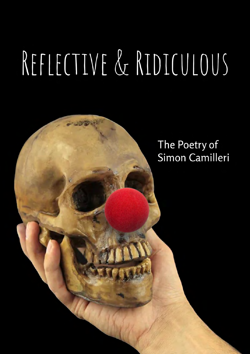# REFLECTIVE & RIDICULOUS

The Poetry of Simon Camilleri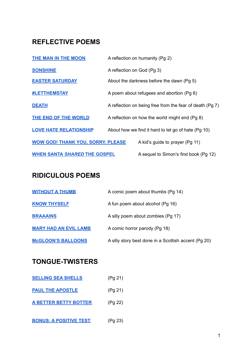# **REFLECTIVE POEMS**

| <b>THE MAN IN THE MOON</b>               |                                           | A reflection on humanity (Pg 2)                          |
|------------------------------------------|-------------------------------------------|----------------------------------------------------------|
| <b>SONSHINE</b>                          | A reflection on God (Pg 3)                |                                                          |
| <b>EASTER SATURDAY</b>                   | About the darkness before the dawn (Pg 5) |                                                          |
| <b>#LETTHEMSTAY</b>                      |                                           | A poem about refugees and abortion (Pg 6)                |
| <b>DEATH</b>                             |                                           | A reflection on being free from the fear of death (Pg 7) |
| <b>THE END OF THE WORLD</b>              |                                           | A reflection on how the world might end (Pg 8)           |
| <b>LOVE HATE RELATIONSHIP</b>            |                                           | About how we find it hard to let go of hate (Pg 10)      |
| <b>WOW GOD! THANK YOU, SORRY, PLEASE</b> |                                           | A kid's guide to prayer (Pg 11)                          |
| <b>WHEN SANTA SHARED THE GOSPEL</b>      |                                           | A sequel to Simon's first book (Pg 12)                   |

# **RIDICULOUS POEMS**

| <b>WITHOUT A THUMB</b>       | A comic poem about thumbs (Pg 14)                    |
|------------------------------|------------------------------------------------------|
| <b>KNOW THYSELF</b>          | A fun poem about alcohol (Pg 16)                     |
| <b>BRAAAINS</b>              | A silly poem about zombies (Pg 17)                   |
| <b>MARY HAD AN EVIL LAMB</b> | A comic horror parody (Pg 18)                        |
| <b>McGLOON'S BALLOONS</b>    | A silly story best done in a Scottish accent (Pg 20) |

# **TONGUE-TWISTERS**

| <b>SELLING SEA SHELLS</b>     | (Pg 21) |
|-------------------------------|---------|
| <b>PAUL THE APOSTLE</b>       | (Pg 21) |
| <b>A BETTER BETTY BOTTER</b>  | (Pg 22) |
| <b>BONUS: A POSITIVE TEST</b> | (Pg 23) |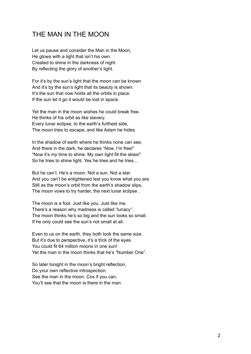#### <span id="page-2-0"></span>THE MAN IN THE MOON

Let us pause and consider the Man in the Moon, He glows with a light that isn't his own. Created to shine in the darkness of night By reflecting the glory of another's light.

For it's by the sun's light that the moon can be known And it's by the sun's light that its beauty is shown. It's the sun that now holds all the orbits in place. If the sun let it go it would be lost in space.

Yet the man in the moon wishes he could break free. He thinks of his orbit as like slavery. Every lunar eclipse, to the earth's furthest side, The moon tries to escape, and like Adam he hides

In the shadow of earth where he thinks none can see. And there in the dark, he declares "Now, I'm free!" "Now it's *my* time to shine. My own light fill the skies!" So he tries to shine light. Yes he tries and he tries...

But he can't. He's a moon. Not a sun. Not a star. And you can't be enlightened lest you know what you are. Still as the moon's orbit from the earth's shadow slips, The moon vows to try harder, the next lunar eclipse .

The moon is a fool. Just like you. Just like me. There's a reason why madness is called "lunacy". The moon thinks he's so big and the sun looks so small. If he only could see the sun's not small at all.

Even to us on the earth, they both look the same size. But it's due to perspective, it's a trick of the eyes. You could fit 64 million moons in one sun! Yet the man in the moon thinks that he's "Number One".

So later tonight in the moon's bright reflection. Do your own reflective introspection. See the man in the moon. Cos if you can, You'll see that the moon is there in the man.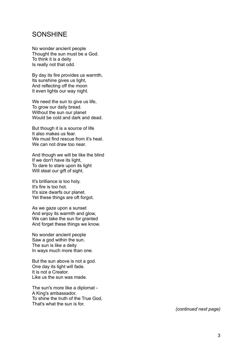#### <span id="page-3-0"></span>SONSHINE

No wonder ancient people Thought the sun must be a God. To think it is a deity Is really not that odd.

By day its fire provides us warmth, Its sunshine gives us light, And reflecting off the moon It even lights our way night.

We need the sun to give us life, To grow our daily bread. Without the sun our planet Would be cold and dark and dead.

But though it is a source of life It also makes us fear. We must find rescue from it's heat. We can not draw too near.

And though we will be like the blind If we don't have its light, To dare to stare upon its light Will steal our gift of sight.

It's brilliance is too holy. It's fire is too hot. It's size dwarfs our planet. Yet these things are oft forgot.

As we gaze upon a sunset And enjoy its warmth and glow, We can take the sun for granted And forget these things we know.

No wonder ancient people Saw a god within the sun. The sun is like a deity In ways much more than one.

But the sun above is not a god. One day its light will fade. It is not a Creator. Like us the sun was made.

The sun's more like a diplomat - A King's ambassador. To shine the truth of the True God, That's what the sun is for.

*(continued next page)*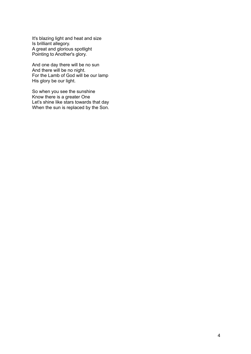It's blazing light and heat and size Is brilliant allegory. A great and glorious spotlight Pointing to Another's glory.

And one day there will be no sun And there will be no night. For the Lamb of God will be our lamp His glory be our light.

So when you see the sunshine Know there is a greater One Let's shine like stars towards that day When the sun is replaced by the Son.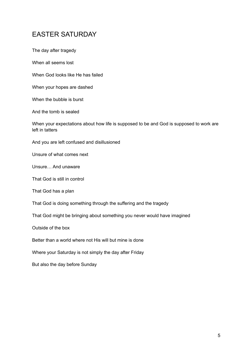### <span id="page-5-0"></span>EASTER SATURDAY

The day after tragedy

When all seems lost

When God looks like He has failed

When your hopes are dashed

When the bubble is burst

And the tomb is sealed

When your expectations about how life is supposed to be and God is supposed to work are left in tatters

And you are left confused and disillusioned

Unsure of what comes next

Unsure… And unaware

That God is still in control

That God has a plan

That God is doing something through the suffering and the tragedy

That God might be bringing about something you never would have imagined

Outside of the box

Better than a world where not His will but mine is done

Where your Saturday is not simply the day after Friday

But also the day before Sunday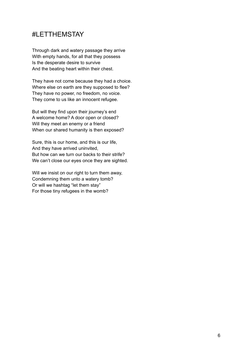#### <span id="page-6-0"></span>#LETTHEMSTAY

Through dark and watery passage they arrive With empty hands, for all that they possess Is the desperate desire to survive And the beating heart within their chest.

They have not come because they had a choice. Where else on earth are they supposed to flee? They have no power, no freedom, no voice. They come to us like an innocent refugee.

But will they find upon their journey's end A welcome home? A door open or closed? Will they meet an enemy or a friend When our shared humanity is then exposed?

Sure, this is our home, and this is our life, And they have arrived uninvited, But how can we turn our backs to their strife? We can't close our eyes once they are sighted.

Will we insist on our right to turn them away. Condemning them unto a watery tomb? Or will we hashtag "let them stay" For those tiny refugees in the womb?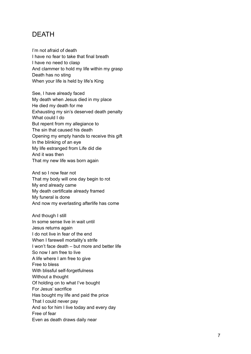#### <span id="page-7-0"></span>**DEATH**

I'm not afraid of death I have no fear to take that final breath I have no need to clasp And clammer to hold my life within my grasp Death has no sting When your life is held by life's King

See, I have already faced My death when Jesus died in my place He died my death for me Exhausting my sin's deserved death penalty What could I do But repent from my allegiance to The sin that caused his death Opening my empty hands to receive this gift In the blinking of an eye My life estranged from Life did die And it was then That my new life was born again

And so I now fear not That my body will one day begin to rot My end already came My death certificate already framed My funeral is done And now my everlasting afterlife has come

And though I still In some sense live in wait until Jesus returns again I do not live in fear of the end When I farewell mortality's strife I won't face death – but more and better life So now I am free to live A life where I am free to give Free to bless With blissful self-forgetfulness Without a thought Of holding on to what I've bought For Jesus' sacrifice Has bought my life and paid the price That I could never pay And so for him I live today and every day Free of fear Even as death draws daily near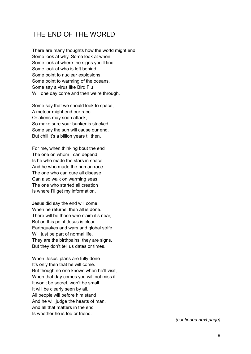#### <span id="page-8-0"></span>THE END OF THE WORLD

There are many thoughts how the world might end. Some look at why. Some look at when. Some look at where the signs you'll find. Some look at who is left behind. Some point to nuclear explosions. Some point to warming of the oceans. Some say a virus like Bird Flu Will one day come and then we're through.

Some say that we should look to space, A meteor might end our race. Or aliens may soon attack, So make sure your bunker is stacked. Some say the sun will cause our end. But chill it's a billion years til then.

For me, when thinking bout the end The one on whom I can depend. Is he who made the stars in space, And he who made the human race. The one who can cure all disease Can also walk on warming seas. The one who started all creation Is where I'll get my information.

Jesus did say the end will come. When he returns, then all is done. There will be those who claim it's near. But on this point Jesus is clear Earthquakes and wars and global strife Will just be part of normal life. They are the birthpains, they are signs, But they don't tell us dates or times.

When Jesus' plans are fully done It's only then that he will come. But though no one knows when he'll visit, When that day comes you will not miss it. It won't be secret, won't be small. It will be clearly seen by all. All people will before him stand And he will judge the hearts of man. And all that matters in the end Is whether he is foe or friend.

*(continued next page)*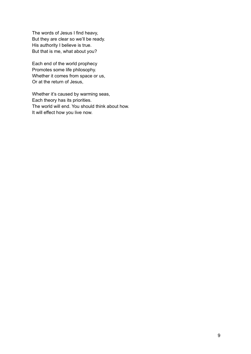The words of Jesus I find heavy, But they are clear so we'll be ready. His authority I believe is true. But that is me, what about you?

Each end of the world prophecy Promotes some life philosophy. Whether it comes from space or us, Or at the return of Jesus,

Whether it's caused by warming seas, Each theory has its priorities. The world will end. You should think about how. It will effect how you live now.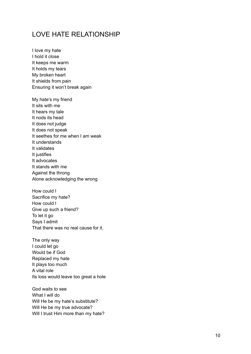#### <span id="page-10-0"></span>LOVE HATE RELATIONSHIP

I love my hate I hold it close It keeps me warm It holds my tears My broken heart It shields from pain Ensuring it won't break again

My hate's my friend It sits with me It hears my tale It nods its head It does not judge It does not speak It seethes for me when I am weak It understands It validates It justifies It advocates It stands with me Against the throng Alone acknowledging the wrong

How could I Sacrifice my hate? How could I Give up such a friend? To let it go Says I admit That there was no real cause for it.

The only way I could let go Would be if God Replaced my hate It plays too much A vital role Its loss would leave too great a hole

God waits to see What I will do Will He be my hate's substitute? Will He be my true advocate? Will I trust Him more than my hate?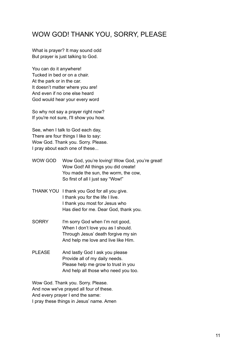#### <span id="page-11-0"></span>WOW GOD! THANK YOU, SORRY, PLEASE

What is prayer? It may sound odd But prayer is just talking to God.

You can do it anywhere! Tucked in bed or on a chair. At the park or in the car. It doesn't matter where you are! And even if no one else heard God would hear your every word

So why not say a prayer right now? If you're not sure, I'll show you how.

See, when I talk to God each day, There are four things I like to say: Wow God. Thank you. Sorry. Please. I pray about each one of these...

- WOW GOD Wow God, you're loving! Wow God, you're great! Wow God! All things you did create! You made the sun, the worm, the cow, So first of all I just say "Wow!"
- THANK YOU I thank you God for all you give. I thank you for the life I live. I thank you most for Jesus who Has died for me. Dear God, thank you.
- SORRY I'm sorry God when I'm not good, When I don't love you as I should. Through Jesus' death forgive my sin And help me love and live like Him.
- PLEASE And lastly God I ask you please Provide all of my daily needs. Please help me grow to trust in you And help all those who need you too.

Wow God. Thank you. Sorry. Please. And now we've prayed all four of these. And every prayer I end the same: I pray these things in Jesus' name. Amen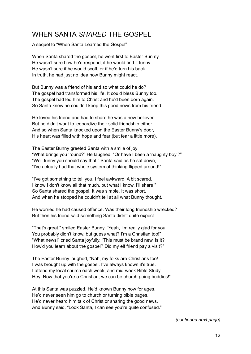#### <span id="page-12-0"></span>WHEN SANTA *SHARED* THE GOSPEL

A sequel to "When Santa Learned the Gospel"

When Santa shared the gospel, he went first to Easter Bun ny. He wasn't sure how he'd respond, if he would find it funny. He wasn't sure if he would scoff, or if he'd turn his back. In truth, he had just no idea how Bunny might react.

But Bunny was a friend of his and so what could he do? The gospel had transformed his life. It could bless Bunny too. The gospel had led him to Christ and he'd been born again. So Santa knew he couldn't keep this good news from his friend.

He loved his friend and had to share he was a new believer, But he didn't want to jeopardize their solid friendship either. And so when Santa knocked upon the Easter Bunny's door, His heart was filled with hope and fear (but fear a little more).

The Easter Bunny greeted Santa with a smile of joy "What brings you 'round?" He laughed, "Or have I been a 'naughty boy'?" "Well funny you should say that." Santa said as he sat down, "I've actually had that whole system of thinking flipped around!"

"I've got something to tell you. I feel awkward. A bit scared. I know I don't know all that much, but what I know, I'll share." So Santa shared the gospel. It was simple. It was short. And when he stopped he couldn't tell at all what Bunny thought.

He worried he had caused offence. Was their long friendship wrecked? But then his friend said something Santa didn't quite expect…

"That's great." smiled Easter Bunny. "Yeah, I'm really glad for you. You probably didn't know, but quess what? I'm a Christian too!" "What news!" cried Santa joyfully, "This must be brand new, is it? How'd you learn about the gospel? Did my elf friend pay a visit?"

The Easter Bunny laughed, "Nah, my folks are Christians too! I was brought up with the gospel. I've always known it's true. I attend my local church each week, and mid-week Bible Study. Hey! Now that you're a Christian, we can be church-going buddies!"

At this Santa was puzzled. He'd known Bunny now for ages. He'd never seen him go to church or turning bible pages. He'd never heard him talk of Christ or sharing the good news. And Bunny said, "Look Santa, I can see you're quite confused."

*(continued next page)*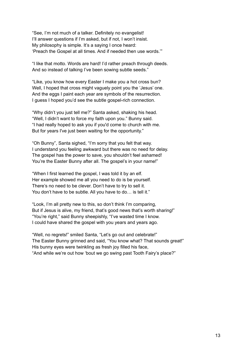"See, I'm not much of a talker. Definitely no evangelist! I'll answer questions if I'm asked, but if not, I won't insist. My philosophy is simple. It's a saying I once heard: 'Preach the Gospel at all times. And if needed then use words.'"

"I like that motto. Words are hard! I'd rather preach through deeds. And so instead of talking I've been sowing subtle seeds."

"Like, you know how every Easter I make you a hot cross bun? Well, I hoped that cross might vaguely point you the 'Jesus' one. And the eggs I paint each year are symbols of the resurrection. I guess I hoped you'd see the subtle gospel-rich connection.

"Why didn't you just tell me?" Santa asked, shaking his head. "Well, I didn't want to force my faith upon you." Bunny said. "I had really hoped to ask you if you'd come to church with me. But for years I've just been waiting for the opportunity."

"Oh Bunny", Santa sighed, "I'm sorry that you felt that way. I understand you feeling awkward but there was no need for delay. The gospel has the power to save, you shouldn't feel ashamed! You're the Easter Bunny after all. The gospel's in your name!"

"When I first learned the gospel, I was told it by an elf. Her example showed me all you need to do is be yourself. There's no need to be clever. Don't have to try to sell it. You don't have to be subtle. All you have to do… is tell it."

"Look, I'm all pretty new to this, so don't think I'm comparing, But if Jesus is alive, my friend, that's good news that's worth sharing!" "You're right," said Bunny sheepishly, "I've wasted time I know. I could have shared the gospel with you years and years ago.

"Well, no regrets!" smiled Santa, "Let's go out and celebrate!" The Easter Bunny grinned and said, "You know what? That sounds great!" His bunny eyes were twinkling as fresh joy filled his face, "And while we're out how 'bout we go swing past Tooth Fairy's place?"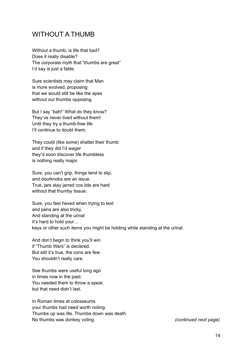#### <span id="page-14-0"></span>WITHOUT A THUMB

Without a thumb, is life that bad? Does it really disable? The corporate myth that "thumbs are great" I'd say is just a fable.

Sure scientists may claim that Man is more evolved, proposing that we would still be like the apes without our thumbs opposing.

But I say "bah!" What do they know? They've never lived without them! Until they try a thumb-free life I'll continue to doubt them.

They could (like some) shatter their thumb and if they did I'd wager they'd soon discover life thumbless is nothing really major.

Sure, you can't grip, things tend to slip. and doorknobs are an issue. True, jars stay jarred cos lids are hard without that thumby tissue.

Sure, you feel hexed when trying to text and pens are also tricky, And standing at the urinal It's hard to hold your… keys or other such items you might be holding while standing at the urinal.

And don't begin to think you'll win if "Thumb Wars" is declared. But still it's true, the cons are few. You shouldn't really care.

See thumbs were useful long ago in times now in the past. You needed them to throw a spear, but that need didn't last.

In Roman times at colosseums your thumbs had need worth noting. Thumbs up was life. Thumbs down was death. No thumbs was donkey voting. *(continued next page)*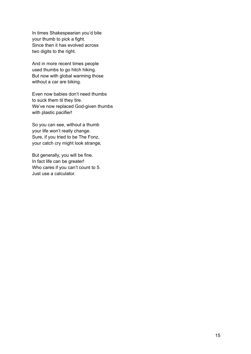In times Shakespearian you'd bite your thumb to pick a fight. Since then it has evolved across two digits to the right.

And in more recent times people used thumbs to go hitch hiking. But now with global warming those without a car are biking.

Even now babies don't need thumbs to suck them til they tire. We've now replaced God-given thumbs with plastic pacifier!

So you can see, without a thumb your life won't really change. Sure, if you tried to be The Fonz, your catch cry might look strange,

But generally, you will be fine. In fact life can be greater! Who cares if you can't count to 5. Just use a calculator.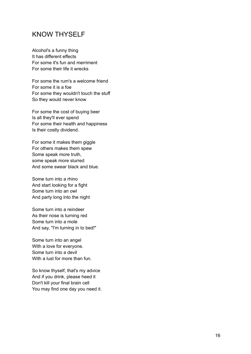#### <span id="page-16-0"></span>KNOW THYSELF

Alcohol's a funny thing It has different effects For some it's fun and merriment For some their life it wrecks

For some the rum's a welcome friend For some it is a foe For some they wouldn't touch the stuff So they would never know

For some the cost of buying beer Is all they'll ever spend For some their health and happiness Is their costly dividend.

For some it makes them giggle For others makes them spew Some speak more truth, some speak more slurred And some swear black and blue.

Some turn into a rhino And start looking for a fight Some turn into an owl And party long into the night

Some turn into a reindeer As their nose is turning red Some turn into a mole And say, "I'm turning in to bed!"

Some turn into an angel With a love for everyone. Some turn into a devil With a lust for more than fun.

So know thyself, that's my advice And if you drink, please heed it Don't kill your final brain cell You may find one day you need it.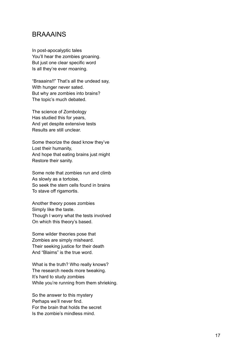#### <span id="page-17-0"></span>BRAAAINS

In post-apocalyptic tales You'll hear the zombies groaning. But just one clear specific word Is all they're ever moaning.

"Braaains!!" That's all the undead say, With hunger never sated. But why are zombies into brains? The topic's much debated.

The science of Zombology Has studied this for years, And yet despite extensive tests Results are still unclear.

Some theorize the dead know they've Lost their humanity, And hope that eating brains just might Restore their sanity.

Some note that zombies run and climb As slowly as a tortoise, So seek the stem cells found in brains To stave off rigamortis.

Another theory poses zombies Simply like the taste. Though I worry what the tests involved On which this theory's based.

Some wilder theories pose that Zombies are simply misheard. Their seeking justice for their death And "Blaims" is the true word.

What is the truth? Who really knows? The research needs more tweaking. It's hard to study zombies While you're running from them shrieking.

So the answer to this mystery Perhaps we'll never find. For the brain that holds the secret Is the zombie's mindless mind.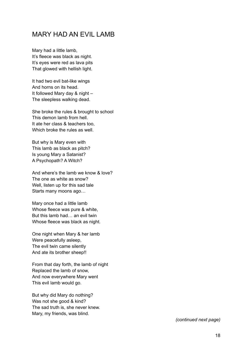#### <span id="page-18-0"></span>MARY HAD AN EVIL LAMB

Mary had a little lamb, It's fleece was black as night. It's eyes were red as lava pits That glowed with hellish light.

It had two evil bat-like wings And horns on its head. It followed Mary day & night – The sleepless walking dead.

She broke the rules & brought to school This demon lamb from hell. It ate her class & teachers too, Which broke the rules as well.

But why is Mary even with This lamb as black as pitch? Is young Mary a Satanist? A Psychopath? A Witch?

And where's the lamb we know & love? The one as white as snow? Well, listen up for this sad tale Starts many moons ago…

Mary once had a little lamb Whose fleece was pure & white, But this lamb had… an evil twin Whose fleece was black as night.

One night when Mary & her lamb Were peacefully asleep, The evil twin came silently And ate its brother sheep!!

From that day forth, the lamb of night Replaced the lamb of snow, And now everywhere Mary went This evil lamb would go.

But why did Mary do nothing? Was not she good & kind? The sad truth is, she never knew. Mary, my friends, was blind.

*(continued next page)*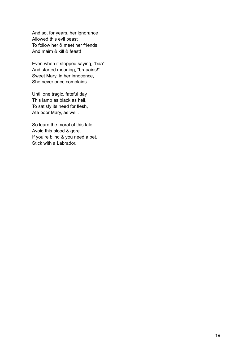And so, for years, her ignorance Allowed this evil beast To follow her & meet her friends And maim & kill & feast!

Even when it stopped saying, "baa" And started moaning, "braaains!" Sweet Mary, in her innocence, She never once complains.

Until one tragic, fateful day This lamb as black as hell, To satisfy its need for flesh, Ate poor Mary, as well.

So learn the moral of this tale. Avoid this blood & gore. If you're blind & you need a pet, Stick with a Labrador.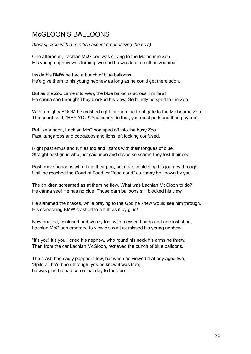# <span id="page-20-0"></span>McGLOON'S BALLOONS

*(best spoken with a Scottish accent emphasising the oo's)*

One afternoon, Lachlan McGloon was driving to the Melbourne Zoo. His young nephew was turning two and he was late, so off he zoomed!

Inside his BMW he had a bunch of blue balloons. He'd give them to his young nephew as long as he could get there soon.

But as the Zoo came into view, the blue balloons across him flew! He canna see through! They blocked his view! So blindly he sped to the Zoo.

With a mighty BOOM he crashed right through the front gate to the Melbourne Zoo. The guard said, "HEY YOU!! You canna do that, you must park and then pay too!"

But like a hoon, Lachlan McGloon sped off into the busy Zoo Past kangaroos and cockatoos and lions left looking confused.

Right past emus and turtles too and lizards with their tongues of blue, Straight past gnus who just said moo and doves so scared they lost their coo

Past brave baboons who flung their poo, but none could stop his journey through. Until he reached the Court of Food, or "food court" as it may be known by you.

The children screamed as at them he flew. What was Lachlan McGloon to do? He canna see! He has no clue! Those darn balloons still blocked his view!

He slammed the brakes, while praying to the God he knew would see him through. His screeching BMW crashed to a halt as if by glue!

Now bruised, confused and woozy too, with messed hairdo and one lost shoe, Lachlan McGloon emerged to view his car just missed his young nephew.

"It's you! It's you!" cried his nephew, who round his neck his arms he threw. Then from the car Lachlan McGloon, retrieved the bunch of blue balloons.

The crash had sadly popped a few, but when he viewed that boy aged two, 'Spite all he'd been through, yes he knew it was true, he was glad he had come that day to the Zoo.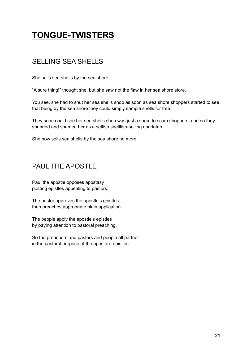# **TONGUE-TWISTERS**

# <span id="page-21-0"></span>SELLING SEA SHELLS

She sells sea shells by the sea shore.

"A sure thing!" thought she, but she saw not the flaw in her sea shore store.

You see, she had to shut her sea shells shop as soon as sea shore shoppers started to see that being by the sea shore they could simply sample shells for free.

They soon could see her sea shells shop was just a sham to scam shoppers, and so they shunned and shamed her as a selfish shellfish-selling charlatan.

She now sells sea shells by the sea shore no more.

# <span id="page-21-1"></span>PAUL THE APOSTLE

Paul the apostle opposes apostasy posting epistles appealing to pastors.

The pastor approves the apostle's epistles then preaches appropriate plain application.

The people apply the apostle's epistles by paying attention to pastoral preaching.

So the preachers and pastors and people all partner in the pastoral purpose of the apostle's epistles.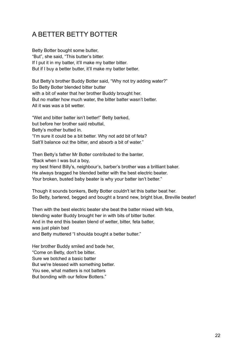# <span id="page-22-0"></span>A BETTER BETTY BOTTER

Betty Botter bought some butter, "But", she said, "This butter's bitter. If I put it in my batter, it'll make my batter bitter. But if I buy a better butter, it'll make my batter better.

But Betty's brother Buddy Botter said, "Why not try adding water?" So Betty Botter blended bitter butter with a bit of water that her brother Buddy brought her. But no matter how much water, the bitter batter wasn't better. All it was was a bit wetter.

"Wet and bitter batter isn't better!" Betty barked, but before her brother said rebuttal, Betty's mother butted in. "I'm sure it could be a bit better. Why not add bit of feta? Salt'll balance out the bitter, and absorb a bit of water."

Then Betty's father Mr Botter contributed to the banter, "Back when I was but a boy, my best friend Billy's, neighbour's, barber's brother was a brilliant baker. He always bragged he blended better with the best electric beater. Your broken, busted baby beater is why your batter isn't better."

Though it sounds bonkers, Betty Botter couldn't let this batter beat her. So Betty, bartered, begged and bought a brand new, bright blue, Breville beater!

Then with the best electric beater she beat the batter mixed with feta, blending water Buddy brought her in with bits of bitter butter. And in the end this beaten blend of wetter, bitter, feta batter, was just plain bad and Betty muttered "I shoulda bought a better butter."

Her brother Buddy smiled and bade her, "Come on Betty, don't be bitter. Sure we botched a basic batter But we're blessed with something better. You see, what matters is not batters But bonding with our fellow Botters."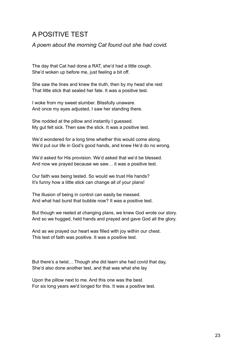#### A POSITIVE TEST

*A poem about the morning Cat found out she had covid.*

The day that Cat had done a RAT, she'd had a little cough. She'd woken up before me, just feeling a bit off.

She saw the lines and knew the truth, then by my head she rest That little stick that sealed her fate. It was a positive test.

I woke from my sweet slumber. Blissfully unaware. And once my eyes adjusted, I saw her standing there.

She nodded at the pillow and instantly I guessed. My gut felt sick. Then saw the stick. It was a positive test.

We'd wondered for a long time whether this would come along. We'd put our life in God's good hands, and knew He'd do no wrong.

We'd asked for His provision. We'd asked that we'd be blessed. And now we prayed because we saw… it was a positive test.

Our faith was being tested. So would we trust His hands? It's funny how a little stick can change all of your plans!

The illusion of being in control can easily be messed. And what had burst that bubble now? It was a positive test.

But though we reeled at changing plans, we knew God wrote our story. And so we hugged, held hands and prayed and gave God all the glory.

And as we prayed our heart was filled with joy within our chest. This test of faith was positive. It was a positive test.

But there's a twist… Though she did learn she had covid that day, She'd also done another test, and that was what she lay

Upon the pillow next to me. And this one was the best. For six long years we'd longed for this. It was a positive test.